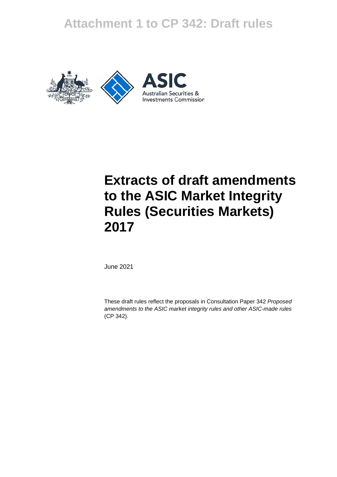# **Attachment 1 to CP 342: Draft rules**





# **Extracts of draft amendments to the ASIC Market Integrity Rules (Securities Markets) 2017**

June 2021

These draft rules reflect the proposals in Consultation Paper 342 *Proposed amendments to the ASIC market integrity rules and other ASIC-made rules*  (CP 342).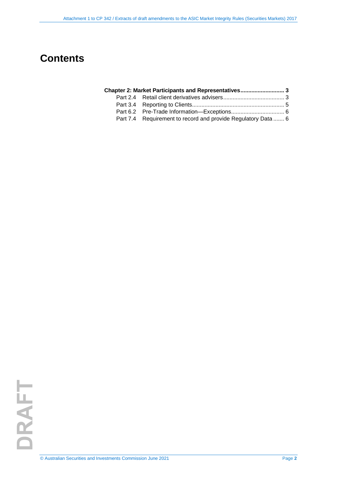# **Contents**

| Chapter 2: Market Participants and Representatives 3 |  |
|------------------------------------------------------|--|
|                                                      |  |

- Part 3.4 [Reporting to Clients........................................................... 5](#page-4-0) Part 6.2 [Pre-Trade Information—Exceptions.................................. 6](#page-5-0)
- [Requirement to record and provide Regulatory Data](#page-5-1) ....... 6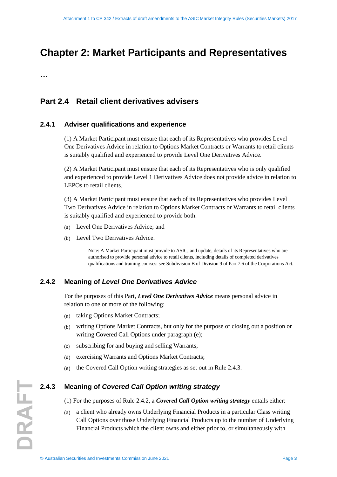# <span id="page-2-0"></span>**Chapter 2: Market Participants and Representatives**

**…** 

### <span id="page-2-1"></span>**Part 2.4 Retail client derivatives advisers**

#### **2.4.1 Adviser qualifications and experience**

(1) A Market Participant must ensure that each of its Representatives who provides Level One Derivatives Advice in relation to Options Market Contracts or Warrants to retail clients is suitably qualified and experienced to provide Level One Derivatives Advice.

(2) A Market Participant must ensure that each of its Representatives who is only qualified and experienced to provide Level 1 Derivatives Advice does not provide advice in relation to LEPOs to retail clients.

(3) A Market Participant must ensure that each of its Representatives who provides Level Two Derivatives Advice in relation to Options Market Contracts or Warrants to retail clients is suitably qualified and experienced to provide both:

- Level One Derivatives Advice; and  $(a)$
- Level Two Derivatives Advice.

Note: A Market Participant must provide to ASIC, and update, details of its Representatives who are authorised to provide personal advice to retail clients, including details of completed derivatives qualifications and training courses: see Subdivision B of Division 9 of Part 7.6 of the Corporations Act.

#### **2.4.2 Meaning of** *Level One Derivatives Advice*

For the purposes of this Part, *Level One Derivatives Advice* means personal advice in relation to one or more of the following:

- (a) taking Options Market Contracts;
- writing Options Market Contracts, but only for the purpose of closing out a position or writing Covered Call Options under paragraph (e);
- subscribing for and buying and selling Warrants;
- exercising Warrants and Options Market Contracts;
- the Covered Call Option writing strategies as set out in Rule 2.4.3.

#### **2.4.3 Meaning of** *Covered Call Option writing strategy*

(1) For the purposes of Rule 2.4.2, a *Covered Call Option writing strategy* entails either:

a client who already owns Underlying Financial Products in a particular Class writing Call Options over those Underlying Financial Products up to the number of Underlying Financial Products which the client owns and either prior to, or simultaneously with

**DRAFT**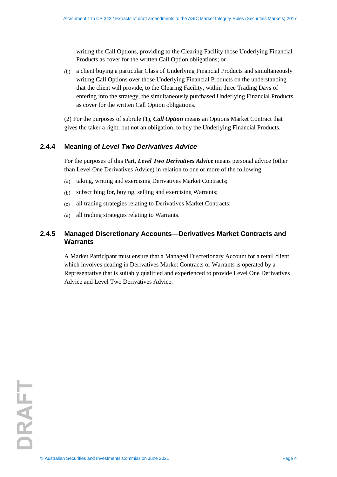writing the Call Options, providing to the Clearing Facility those Underlying Financial Products as cover for the written Call Option obligations; or

a client buying a particular Class of Underlying Financial Products and simultaneously writing Call Options over those Underlying Financial Products on the understanding that the client will provide, to the Clearing Facility, within three Trading Days of entering into the strategy, the simultaneously purchased Underlying Financial Products as cover for the written Call Option obligations.

(2) For the purposes of subrule (1), *Call Option* means an Options Market Contract that gives the taker a right, but not an obligation, to buy the Underlying Financial Products.

#### **2.4.4 Meaning of** *Level Two Derivatives Advice*

For the purposes of this Part, *Level Two Derivatives Advice* means personal advice (other than Level One Derivatives Advice) in relation to one or more of the following:

- taking, writing and exercising Derivatives Market Contracts;  $(a)$
- subscribing for, buying, selling and exercising Warrants;
- all trading strategies relating to Derivatives Market Contracts;  $(c)$
- all trading strategies relating to Warrants.  $(d)$

#### **2.4.5 Managed Discretionary Accounts—Derivatives Market Contracts and Warrants**

A Market Participant must ensure that a Managed Discretionary Account for a retail client which involves dealing in Derivatives Market Contracts or Warrants is operated by a Representative that is suitably qualified and experienced to provide Level One Derivatives Advice and Level Two Derivatives Advice.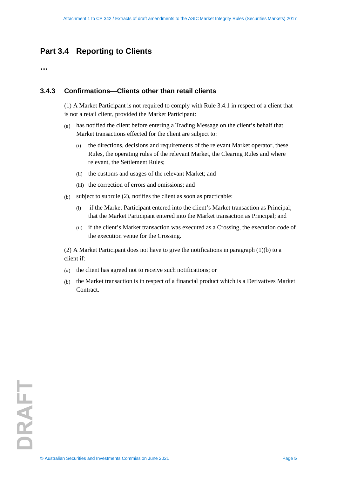## <span id="page-4-0"></span>**Part 3.4 Reporting to Clients**

**…** 

#### **3.4.3 Confirmations—Clients other than retail clients**

(1) A Market Participant is not required to comply with Rule 3.4.1 in respect of a client that is not a retail client, provided the Market Participant:

- has notified the client before entering a Trading Message on the client's behalf that  $(a)$ Market transactions effected for the client are subject to:
	- (i) the directions, decisions and requirements of the relevant Market operator, these Rules, the operating rules of the relevant Market, the Clearing Rules and where relevant, the Settlement Rules;
	- (ii) the customs and usages of the relevant Market; and
	- (iii) the correction of errors and omissions; and
- subject to subrule (2), notifies the client as soon as practicable:
	- (i) if the Market Participant entered into the client's Market transaction as Principal; that the Market Participant entered into the Market transaction as Principal; and
	- (ii) if the client's Market transaction was executed as a Crossing, the execution code of the execution venue for the Crossing.

(2) A Market Participant does not have to give the notifications in paragraph  $(1)(b)$  to a client if:

- the client has agreed not to receive such notifications; or  $(a)$
- the Market transaction is in respect of a financial product which is a Derivatives Market **Contract**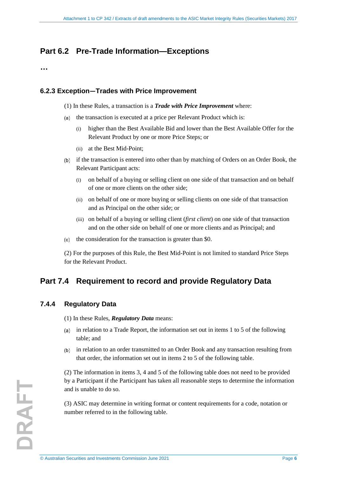## <span id="page-5-0"></span>**Part 6.2 Pre-Trade Information—Exceptions**

**…**

#### **6.2.3 Exception—Trades with Price Improvement**

- (1) In these Rules, a transaction is a *Trade with Price Improvement* where:
- (a) the transaction is executed at a price per Relevant Product which is:
	- (i) higher than the Best Available Bid and lower than the Best Available Offer for the Relevant Product by one or more Price Steps; or
	- (ii) at the Best Mid-Point;
- if the transaction is entered into other than by matching of Orders on an Order Book, the Relevant Participant acts:
	- (i) on behalf of a buying or selling client on one side of that transaction and on behalf of one or more clients on the other side;
	- (ii) on behalf of one or more buying or selling clients on one side of that transaction and as Principal on the other side; or
	- (iii) on behalf of a buying or selling client (*first client*) on one side of that transaction and on the other side on behalf of one or more clients and as Principal; and
- the consideration for the transaction is greater than \$0.  $(c)$

(2) For the purposes of this Rule, the Best Mid-Point is not limited to standard Price Steps for the Relevant Product.

## <span id="page-5-1"></span>**Part 7.4 Requirement to record and provide Regulatory Data**

#### **7.4.4 Regulatory Data**

(1) In these Rules, *Regulatory Data* means:

- (a) in relation to a Trade Report, the information set out in items  $1$  to  $5$  of the following table; and
- in relation to an order transmitted to an Order Book and any transaction resulting from that order, the information set out in items 2 to 5 of the following table.

(2) The information in items 3, 4 and 5 of the following table does not need to be provided by a Participant if the Participant has taken all reasonable steps to determine the information and is unable to do so.

(3) ASIC may determine in writing format or content requirements for a code, notation or number referred to in the following table.